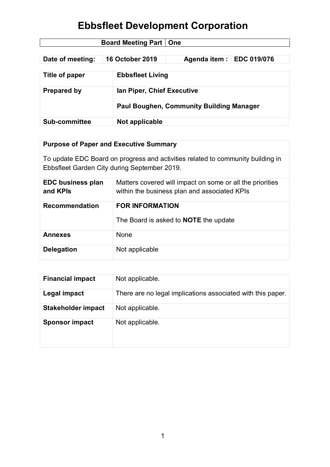| <b>Board Meeting Part   One</b> |                        |                                                 |  |  |
|---------------------------------|------------------------|-------------------------------------------------|--|--|
|                                 |                        |                                                 |  |  |
| Date of meeting:                | <b>16 October 2019</b> | Agenda item :   EDC 019/076                     |  |  |
|                                 |                        |                                                 |  |  |
| Title of paper                  |                        | <b>Ebbsfleet Living</b>                         |  |  |
|                                 |                        |                                                 |  |  |
| <b>Prepared by</b>              |                        | lan Piper, Chief Executive                      |  |  |
|                                 |                        |                                                 |  |  |
|                                 |                        | <b>Paul Boughen, Community Building Manager</b> |  |  |
|                                 |                        |                                                 |  |  |
| <b>Sub-committee</b>            | Not applicable         |                                                 |  |  |

### **Purpose of Paper and Executive Summary**

To update EDC Board on progress and activities related to community building in Ebbsfleet Garden City during September 2019.

| <b>EDC business plan</b><br>and KPIs | Matters covered will impact on some or all the priorities<br>within the business plan and associated KPIs |
|--------------------------------------|-----------------------------------------------------------------------------------------------------------|
| <b>Recommendation</b>                | <b>FOR INFORMATION</b><br>The Board is asked to <b>NOTE</b> the update                                    |
| Annexes                              | <b>None</b>                                                                                               |
| <b>Delegation</b>                    | Not applicable                                                                                            |

| <b>Financial impact</b>   | Not applicable.                                             |
|---------------------------|-------------------------------------------------------------|
| Legal impact              | There are no legal implications associated with this paper. |
| <b>Stakeholder impact</b> | Not applicable.                                             |
| <b>Sponsor impact</b>     | Not applicable.                                             |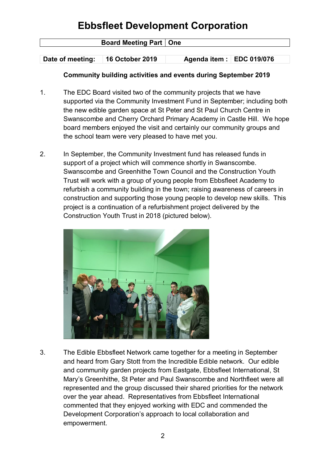| <b>Board Meeting Part   One</b> |                 |                           |  |
|---------------------------------|-----------------|---------------------------|--|
|                                 |                 |                           |  |
| Date of meeting:                | 16 October 2019 | Agenda item : EDC 019/076 |  |

#### **Community building activities and events during September 2019**

- 1. The EDC Board visited two of the community projects that we have supported via the Community Investment Fund in September; including both the new edible garden space at St Peter and St Paul Church Centre in Swanscombe and Cherry Orchard Primary Academy in Castle Hill. We hope board members enjoyed the visit and certainly our community groups and the school team were very pleased to have met you.
- 2. In September, the Community Investment fund has released funds in support of a project which will commence shortly in Swanscombe. Swanscombe and Greenhithe Town Council and the Construction Youth Trust will work with a group of young people from Ebbsfleet Academy to refurbish a community building in the town; raising awareness of careers in construction and supporting those young people to develop new skills. This project is a continuation of a refurbishment project delivered by the Construction Youth Trust in 2018 (pictured below).



3. The Edible Ebbsfleet Network came together for a meeting in September and heard from Gary Stott from the Incredible Edible network. Our edible and community garden projects from Eastgate, Ebbsfleet International, St Mary's Greenhithe, St Peter and Paul Swanscombe and Northfleet were all represented and the group discussed their shared priorities for the network over the year ahead. Representatives from Ebbsfleet International commented that they enjoyed working with EDC and commended the Development Corporation's approach to local collaboration and empowerment.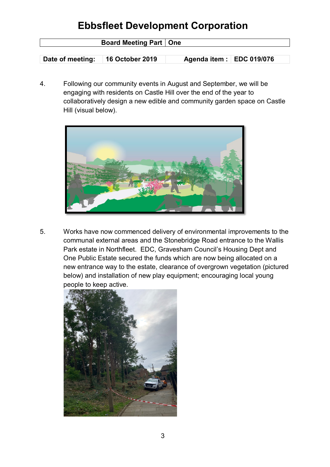| <b>Board Meeting Part   One</b> |                        |                           |  |
|---------------------------------|------------------------|---------------------------|--|
|                                 |                        |                           |  |
| Date of meeting:                | <b>16 October 2019</b> | Agenda item : EDC 019/076 |  |

4. Following our community events in August and September, we will be engaging with residents on Castle Hill over the end of the year to collaboratively design a new edible and community garden space on Castle Hill (visual below).



5. Works have now commenced delivery of environmental improvements to the communal external areas and the Stonebridge Road entrance to the Wallis Park estate in Northfleet. EDC, Gravesham Council's Housing Dept and One Public Estate secured the funds which are now being allocated on a new entrance way to the estate, clearance of overgrown vegetation (pictured below) and installation of new play equipment; encouraging local young people to keep active.

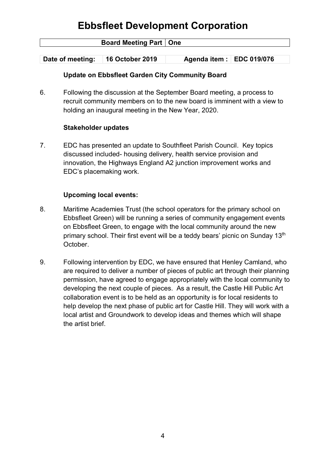| <b>Board Meeting Part   One</b> |                 |                           |  |
|---------------------------------|-----------------|---------------------------|--|
|                                 |                 |                           |  |
| Date of meeting:                | 16 October 2019 | Agenda item : EDC 019/076 |  |

#### **Update on Ebbsfleet Garden City Community Board**

6. Following the discussion at the September Board meeting, a process to recruit community members on to the new board is imminent with a view to holding an inaugural meeting in the New Year, 2020.

#### **Stakeholder updates**

7. EDC has presented an update to Southfleet Parish Council. Key topics discussed included- housing delivery, health service provision and innovation, the Highways England A2 junction improvement works and EDC's placemaking work.

#### **Upcoming local events:**

- 8. Maritime Academies Trust (the school operators for the primary school on Ebbsfleet Green) will be running a series of community engagement events on Ebbsfleet Green, to engage with the local community around the new primary school. Their first event will be a teddy bears' picnic on Sunday 13<sup>th</sup> October.
- 9. Following intervention by EDC, we have ensured that Henley Camland, who are required to deliver a number of pieces of public art through their planning permission, have agreed to engage appropriately with the local community to developing the next couple of pieces. As a result, the Castle Hill Public Art collaboration event is to be held as an opportunity is for local residents to help develop the next phase of public art for Castle Hill. They will work with a local artist and Groundwork to develop ideas and themes which will shape the artist brief.